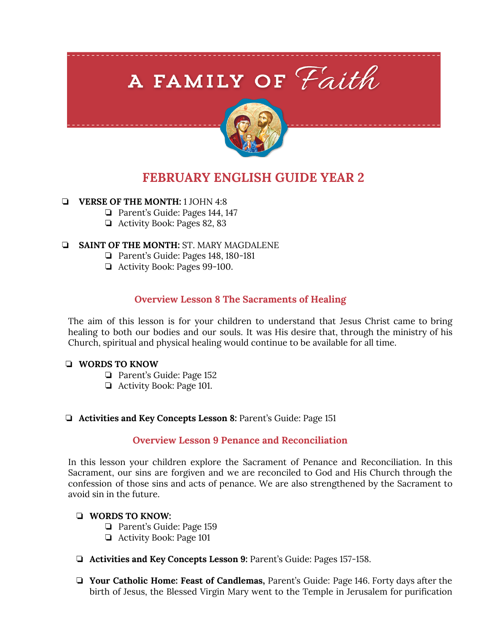# A FAMILY OF Faith



# **FEBRUARY ENGLISH GUIDE YEAR 2**

# ❏ **VERSE OF THE MONTH:** 1 JOHN 4:8

- ❏ Parent's Guide: Pages 144, 147
- ❏ Activity Book: Pages 82, 83

# ❏ **SAINT OF THE MONTH:** ST. MARY MAGDALENE

- ❏ Parent's Guide: Pages 148, 180-181
- ❏ Activity Book: Pages 99-100.

# **Overview Lesson 8 The Sacraments of Healing**

The aim of this lesson is for your children to understand that Jesus Christ came to bring healing to both our bodies and our souls. It was His desire that, through the ministry of his Church, spiritual and physical healing would continue to be available for all time.

# ❏ **WORDS TO KNOW**

- ❏ Parent's Guide: Page 152
- ❏ Activity Book: Page 101.

# ❏ **Activities and Key Concepts Lesson 8:** Parent's Guide: Page 151

# **Overview Lesson 9 Penance and Reconciliation**

In this lesson your children explore the Sacrament of Penance and Reconciliation. In this Sacrament, our sins are forgiven and we are reconciled to God and His Church through the confession of those sins and acts of penance. We are also strengthened by the Sacrament to avoid sin in the future.

# ❏ **WORDS TO KNOW:**

- ❏ Parent's Guide: Page 159
- ❏ Activity Book: Page 101
- ❏ **Activities and Key Concepts Lesson 9:** Parent's Guide: Pages 157-158.
- ❏ **Your Catholic Home: Feast of Candlemas,** Parent's Guide: Page 146. Forty days after the birth of Jesus, the Blessed Virgin Mary went to the Temple in Jerusalem for purification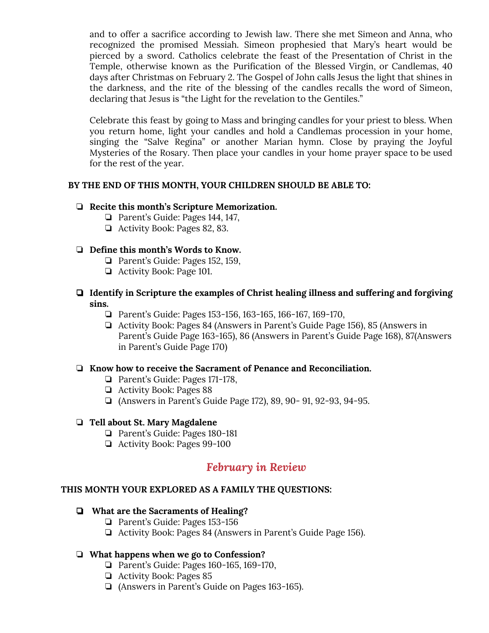and to offer a sacrifice according to Jewish law. There she met Simeon and Anna, who recognized the promised Messiah. Simeon prophesied that Mary's heart would be pierced by a sword. Catholics celebrate the feast of the Presentation of Christ in the Temple, otherwise known as the Purification of the Blessed Virgin, or Candlemas, 40 days after Christmas on February 2. The Gospel of John calls Jesus the light that shines in the darkness, and the rite of the blessing of the candles recalls the word of Simeon, declaring that Jesus is "the Light for the revelation to the Gentiles."

Celebrate this feast by going to Mass and bringing candles for your priest to bless. When you return home, light your candles and hold a Candlemas procession in your home, singing the "Salve Regina" or another Marian hymn. Close by praying the Joyful Mysteries of the Rosary. Then place your candles in your home prayer space to be used for the rest of the year.

#### **BY THE END OF THIS MONTH, YOUR CHILDREN SHOULD BE ABLE TO:**

#### ❏ **Recite this month's Scripture Memorization.**

- ❏ Parent's Guide: Pages 144, 147,
- ❏ Activity Book: Pages 82, 83.

#### ❏ **Define this month's Words to Know.**

- ❏ Parent's Guide: Pages 152, 159,
- ❏ Activity Book: Page 101.
- ❏ **Identify in Scripture the examples of Christ healing illness and suffering and forgiving sins.**
	- ❏ Parent's Guide: Pages 153-156, 163-165, 166-167, 169-170,
	- ❏ Activity Book: Pages 84 (Answers in Parent's Guide Page 156), 85 (Answers in Parent's Guide Page 163-165), 86 (Answers in Parent's Guide Page 168), 87(Answers in Parent's Guide Page 170)

#### ❏ **Know how to receive the Sacrament of Penance and Reconciliation.**

- ❏ Parent's Guide: Pages 171-178,
- ❏ Activity Book: Pages 88
- ❏ (Answers in Parent's Guide Page 172), 89, 90- 91, 92-93, 94-95.

#### ❏ **Tell about St. Mary Magdalene**

- ❏ Parent's Guide: Pages 180-181
- ❏ Activity Book: Pages 99-100

# *February in Review*

#### **THIS MONTH YOUR EXPLORED AS A FAMILY THE QUESTIONS:**

#### ❏ **What are the Sacraments of Healing?**

- ❏ Parent's Guide: Pages 153-156
- ❏ Activity Book: Pages 84 (Answers in Parent's Guide Page 156).

# ❏ **What happens when we go to Confession?**

- ❏ Parent's Guide: Pages 160-165, 169-170,
- ❏ Activity Book: Pages 85
- ❏ (Answers in Parent's Guide on Pages 163-165).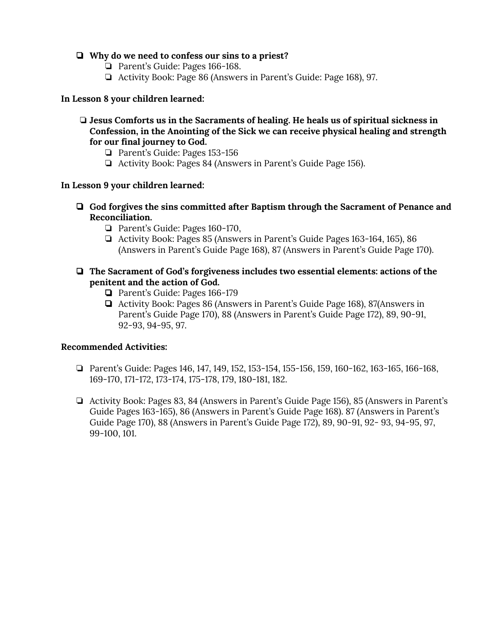# ❏ **Why do we need to confess our sins to a priest?**

- ❏ Parent's Guide: Pages 166-168.
- ❏ Activity Book: Page 86 (Answers in Parent's Guide: Page 168), 97.

#### **In Lesson 8 your children learned:**

#### ❏ **Jesus Comforts us in the Sacraments of healing. He heals us of spiritual sickness in Confession, in the Anointing of the Sick we can receive physical healing and strength for our final journey to God.**

- ❏ Parent's Guide: Pages 153-156
- ❏ Activity Book: Pages 84 (Answers in Parent's Guide Page 156).

#### **In Lesson 9 your children learned:**

- ❏ **God forgives the sins committed after Baptism through the Sacrament of Penance and Reconciliation.**
	- ❏ Parent's Guide: Pages 160-170,
	- ❏ Activity Book: Pages 85 (Answers in Parent's Guide Pages 163-164, 165), 86 (Answers in Parent's Guide Page 168), 87 (Answers in Parent's Guide Page 170).

#### ❏ **The Sacrament of God's forgiveness includes two essential elements: actions of the penitent and the action of God.**

- ❏ Parent's Guide: Pages 166-179
- ❏ Activity Book: Pages 86 (Answers in Parent's Guide Page 168), 87(Answers in Parent's Guide Page 170), 88 (Answers in Parent's Guide Page 172), 89, 90-91, 92-93, 94-95, 97.

#### **Recommended Activities:**

- ❏ Parent's Guide: Pages 146, 147, 149, 152, 153-154, 155-156, 159, 160-162, 163-165, 166-168, 169-170, 171-172, 173-174, 175-178, 179, 180-181, 182.
- ❏ Activity Book: Pages 83, 84 (Answers in Parent's Guide Page 156), 85 (Answers in Parent's Guide Pages 163-165), 86 (Answers in Parent's Guide Page 168). 87 (Answers in Parent's Guide Page 170), 88 (Answers in Parent's Guide Page 172), 89, 90-91, 92- 93, 94-95, 97, 99-100, 101.